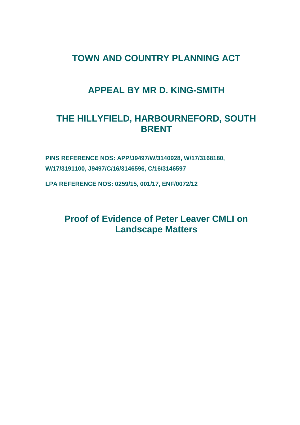# **TOWN AND COUNTRY PLANNING ACT**

# **APPEAL BY MR D. KING-SMITH**

# **THE HILLYFIELD, HARBOURNEFORD, SOUTH BRENT**

**PINS REFERENCE NOS: APP/J9497/W/3140928, W/17/3168180, W/17/3191100, J9497/C/16/3146596, C/16/3146597**

**LPA REFERENCE NOS: 0259/15, 001/17, ENF/0072/12**

**Proof of Evidence of Peter Leaver CMLI on Landscape Matters**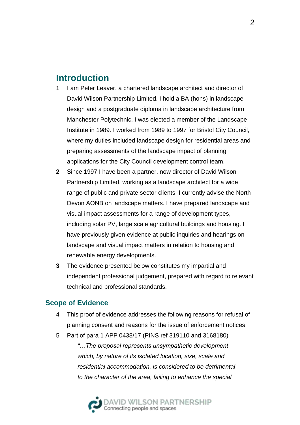# **Introduction**

- 1 I am Peter Leaver, a chartered landscape architect and director of David Wilson Partnership Limited. I hold a BA (hons) in landscape design and a postgraduate diploma in landscape architecture from Manchester Polytechnic. I was elected a member of the Landscape Institute in 1989. I worked from 1989 to 1997 for Bristol City Council, where my duties included landscape design for residential areas and preparing assessments of the landscape impact of planning applications for the City Council development control team.
- **2** Since 1997 I have been a partner, now director of David Wilson Partnership Limited, working as a landscape architect for a wide range of public and private sector clients. I currently advise the North Devon AONB on landscape matters. I have prepared landscape and visual impact assessments for a range of development types, including solar PV, large scale agricultural buildings and housing. I have previously given evidence at public inquiries and hearings on landscape and visual impact matters in relation to housing and renewable energy developments.
- **3** The evidence presented below constitutes my impartial and independent professional judgement, prepared with regard to relevant technical and professional standards.

## **Scope of Evidence**

- 4 This proof of evidence addresses the following reasons for refusal of planning consent and reasons for the issue of enforcement notices:
- 5 Part of para 1 APP 0438/17 (PINS ref 319110 and 3168180)

*"…The proposal represents unsympathetic development which, by nature of its isolated location, size, scale and residential accommodation, is considered to be detrimental to the character of the area, failing to enhance the special* 

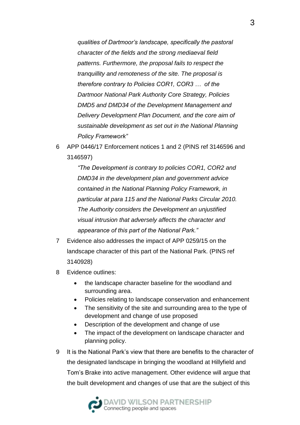*qualities of Dartmoor's landscape, specifically the pastoral character of the fields and the strong mediaeval field patterns. Furthermore, the proposal fails to respect the tranquillity and remoteness of the site. The proposal is therefore contrary to Policies COR1, COR3 … of the Dartmoor National Park Authority Core Strategy, Policies DMD5 and DMD34 of the Development Management and Delivery Development Plan Document, and the core aim of sustainable development as set out in the National Planning Policy Framework"*

6 APP 0446/17 Enforcement notices 1 and 2 (PINS ref 3146596 and 3146597)

> *"The Development is contrary to policies COR1, COR2 and DMD34 in the development plan and government advice contained in the National Planning Policy Framework, in particular at para 115 and the National Parks Circular 2010. The Authority considers the Development an unjustified visual intrusion that adversely affects the character and appearance of this part of the National Park."*

- 7 Evidence also addresses the impact of APP 0259/15 on the landscape character of this part of the National Park. (PINS ref 3140928)
- 8 Evidence outlines:
	- the landscape character baseline for the woodland and surrounding area.
	- Policies relating to landscape conservation and enhancement
	- The sensitivity of the site and surrounding area to the type of development and change of use proposed
	- Description of the development and change of use
	- The impact of the development on landscape character and planning policy.
- 9 It is the National Park's view that there are benefits to the character of the designated landscape in bringing the woodland at Hillyfield and Tom's Brake into active management. Other evidence will argue that the built development and changes of use that are the subject of this

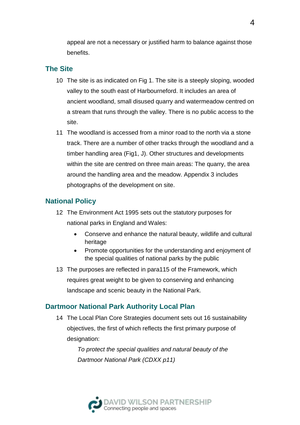appeal are not a necessary or justified harm to balance against those benefits.

## **The Site**

- 10 The site is as indicated on Fig 1. The site is a steeply sloping, wooded valley to the south east of Harbourneford. It includes an area of ancient woodland, small disused quarry and watermeadow centred on a stream that runs through the valley. There is no public access to the site.
- 11 The woodland is accessed from a minor road to the north via a stone track. There are a number of other tracks through the woodland and a timber handling area (Fig1, J). Other structures and developments within the site are centred on three main areas: The quarry, the area around the handling area and the meadow. Appendix 3 includes photographs of the development on site.

## **National Policy**

- 12 The Environment Act 1995 sets out the statutory purposes for national parks in England and Wales:
	- Conserve and enhance the natural beauty, wildlife and cultural heritage
	- Promote opportunities for the understanding and enjoyment of the special qualities of national parks by the public
- 13 The purposes are reflected in para115 of the Framework, which requires great weight to be given to conserving and enhancing landscape and scenic beauty in the National Park.

## **Dartmoor National Park Authority Local Plan**

14 The Local Plan Core Strategies document sets out 16 sustainability objectives, the first of which reflects the first primary purpose of designation:

> *To protect the special qualities and natural beauty of the Dartmoor National Park (CDXX p11)*

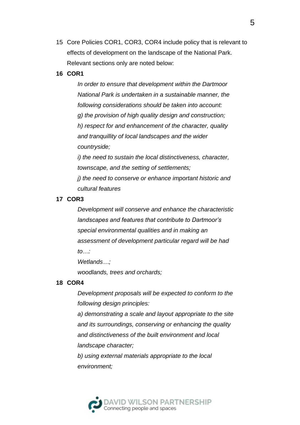15 Core Policies COR1, COR3, COR4 include policy that is relevant to effects of development on the landscape of the National Park. Relevant sections only are noted below:

#### **16 COR1**

*In order to ensure that development within the Dartmoor National Park is undertaken in a sustainable manner, the following considerations should be taken into account: g) the provision of high quality design and construction; h) respect for and enhancement of the character, quality and tranquillity of local landscapes and the wider countryside;*

*i) the need to sustain the local distinctiveness, character, townscape, and the setting of settlements; j) the need to conserve or enhance important historic and cultural features*

#### **17 COR3**

*Development will conserve and enhance the characteristic landscapes and features that contribute to Dartmoor's special environmental qualities and in making an assessment of development particular regard will be had to…:*

*Wetlands…;*

*woodlands, trees and orchards;*

#### **18 COR4**

*Development proposals will be expected to conform to the following design principles:*

*a) demonstrating a scale and layout appropriate to the site and its surroundings, conserving or enhancing the quality and distinctiveness of the built environment and local landscape character;*

*b) using external materials appropriate to the local environment;*

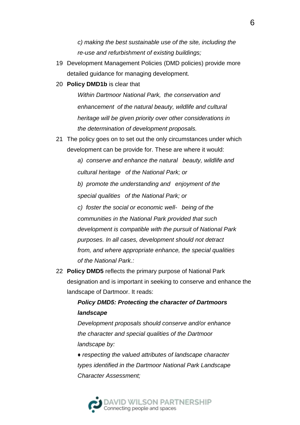*c) making the best sustainable use of the site, including the re-use and refurbishment of existing buildings;*

- 19 Development Management Policies (DMD policies) provide more detailed guidance for managing development.
- 20 **Policy DMD1b** is clear that

*Within Dartmoor National Park, the conservation and enhancement of the natural beauty, wildlife and cultural heritage will be given priority over other considerations in the determination of development proposals.*

21 The policy goes on to set out the only circumstances under which development can be provide for. These are where it would:

> *a) conserve and enhance the natural beauty, wildlife and cultural heritage of the National Park; or*

*b) promote the understanding and enjoyment of the special qualities of the National Park; or* 

*c) foster the social or economic well- being of the communities in the National Park provided that such development is compatible with the pursuit of National Park purposes. In all cases, development should not detract from, and where appropriate enhance, the special qualities of the National Park.:*

22 **Policy DMD5** reflects the primary purpose of National Park designation and is important in seeking to conserve and enhance the landscape of Dartmoor. It reads:

> *Policy DMD5: Protecting the character of Dartmoors landscape*

*Development proposals should conserve and/or enhance the character and special qualities of the Dartmoor landscape by:* 

*♦ respecting the valued attributes of landscape character types identified in the Dartmoor National Park Landscape Character Assessment;* 

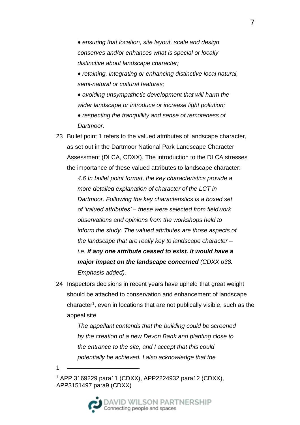*♦ ensuring that location, site layout, scale and design conserves and/or enhances what is special or locally distinctive about landscape character;* 

*♦ retaining, integrating or enhancing distinctive local natural, semi-natural or cultural features;* 

*♦ avoiding unsympathetic development that will harm the wider landscape or introduce or increase light pollution;* 

*♦ respecting the tranquillity and sense of remoteness of Dartmoor.*

23 Bullet point 1 refers to the valued attributes of landscape character, as set out in the Dartmoor National Park Landscape Character Assessment (DLCA, CDXX). The introduction to the DLCA stresses the importance of these valued attributes to landscape character: *4.6 In bullet point format, the key characteristics provide a more detailed explanation of character of the LCT in Dartmoor. Following the key characteristics is a boxed set of 'valued attributes' – these were selected from fieldwork observations and opinions from the workshops held to inform the study. The valued attributes are those aspects of the landscape that are really key to landscape character – i.e. if any one attribute ceased to exist, it would have a major impact on the landscape concerned (CDXX p38. Emphasis added).*

24 Inspectors decisions in recent years have upheld that great weight should be attached to conservation and enhancement of landscape character<sup>1</sup> , even in locations that are not publically visible, such as the appeal site:

> *The appellant contends that the building could be screened by the creation of a new Devon Bank and planting close to the entrance to the site, and I accept that this could potentially be achieved. I also acknowledge that the*

1

<sup>1</sup> APP 3169229 para11 (CDXX), APP2224932 para12 (CDXX), APP3151497 para9 (CDXX)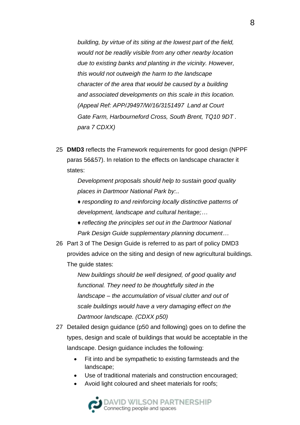*building, by virtue of its siting at the lowest part of the field, would not be readily visible from any other nearby location due to existing banks and planting in the vicinity. However, this would not outweigh the harm to the landscape character of the area that would be caused by a building and associated developments on this scale in this location. (Appeal Ref: APP/J9497/W/16/3151497 Land at Court Gate Farm, Harbourneford Cross, South Brent, TQ10 9DT . para 7 CDXX)*

25 **DMD3** reflects the Framework requirements for good design (NPPF paras 56&57). In relation to the effects on landscape character it states:

> *Development proposals should help to sustain good quality places in Dartmoor National Park by:..*

- *♦ responding to and reinforcing locally distinctive patterns of development, landscape and cultural heritage;…*
- *♦ reflecting the principles set out in the Dartmoor National Park Design Guide supplementary planning document…*
- 26 Part 3 of The Design Guide is referred to as part of policy DMD3 provides advice on the siting and design of new agricultural buildings. The guide states:

*New buildings should be well designed, of good quality and functional. They need to be thoughtfully sited in the landscape – the accumulation of visual clutter and out of scale buildings would have a very damaging effect on the Dartmoor landscape. (CDXX p50)*

- 27 Detailed design guidance (p50 and following) goes on to define the types, design and scale of buildings that would be acceptable in the landscape. Design guidance includes the following:
	- Fit into and be sympathetic to existing farmsteads and the landscape;
	- Use of traditional materials and construction encouraged;
	- Avoid light coloured and sheet materials for roofs;

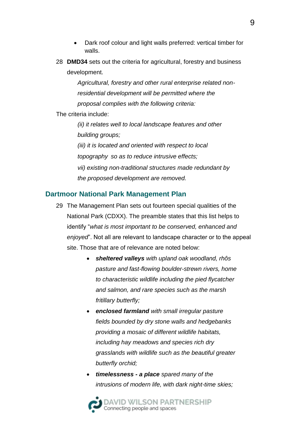- Dark roof colour and light walls preferred: vertical timber for walls.
- 28 **DMD34** sets out the criteria for agricultural, forestry and business development.

*Agricultural, forestry and other rural enterprise related nonresidential development will be permitted where the proposal complies with the following criteria:* 

#### The criteria include:

*(ii) it relates well to local landscape features and other building groups; (iii) it is located and oriented with respect to local topography so as to reduce intrusive effects; vii) existing non-traditional structures made redundant by the proposed development are removed.*

### **Dartmoor National Park Management Plan**

- 29 The Management Plan sets out fourteen special qualities of the National Park (CDXX). The preamble states that this list helps to identify "*what is most important to be conserved, enhanced and enjoyed*". Not all are relevant to landscape character or to the appeal site. Those that are of relevance are noted below:
	- *sheltered valleys with upland oak woodland, rhôs pasture and fast-flowing boulder-strewn rivers, home to characteristic wildlife including the pied flycatcher and salmon, and rare species such as the marsh fritillary butterfly;*
	- *enclosed farmland with small irregular pasture fields bounded by dry stone walls and hedgebanks providing a mosaic of different wildlife habitats, including hay meadows and species rich dry grasslands with wildlife such as the beautiful greater butterfly orchid;*
	- *timelessness - a place spared many of the intrusions of modern life, with dark night-time skies;*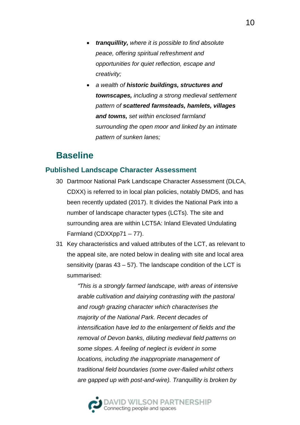- *tranquillity, where it is possible to find absolute peace, offering spiritual refreshment and opportunities for quiet reflection, escape and creativity;*
- *a wealth of historic buildings, structures and townscapes, including a strong medieval settlement pattern of scattered farmsteads, hamlets, villages and towns, set within enclosed farmland surrounding the open moor and linked by an intimate pattern of sunken lanes;*

# **Baseline**

### **Published Landscape Character Assessment**

- 30 Dartmoor National Park Landscape Character Assessment (DLCA, CDXX) is referred to in local plan policies, notably DMD5, and has been recently updated (2017). It divides the National Park into a number of landscape character types (LCTs). The site and surrounding area are within LCT5A: Inland Elevated Undulating Farmland (CDXXpp71 – 77).
- 31 Key characteristics and valued attributes of the LCT, as relevant to the appeal site, are noted below in dealing with site and local area sensitivity (paras 43 – 57). The landscape condition of the LCT is summarised:

*"This is a strongly farmed landscape, with areas of intensive arable cultivation and dairying contrasting with the pastoral and rough grazing character which characterises the majority of the National Park. Recent decades of intensification have led to the enlargement of fields and the removal of Devon banks, diluting medieval field patterns on some slopes. A feeling of neglect is evident in some locations, including the inappropriate management of traditional field boundaries (some over-flailed whilst others are gapped up with post-and-wire). Tranquillity is broken by* 

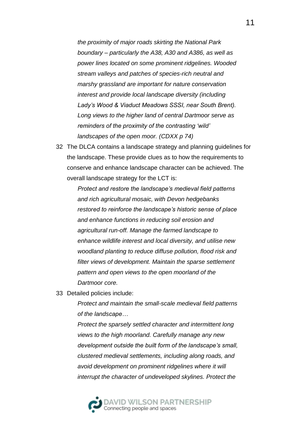*the proximity of major roads skirting the National Park boundary – particularly the A38, A30 and A386, as well as power lines located on some prominent ridgelines. Wooded stream valleys and patches of species-rich neutral and marshy grassland are important for nature conservation interest and provide local landscape diversity (including Lady's Wood & Viaduct Meadows SSSI, near South Brent). Long views to the higher land of central Dartmoor serve as reminders of the proximity of the contrasting 'wild' landscapes of the open moor. (CDXX p 74)*

32 The DLCA contains a landscape strategy and planning guidelines for the landscape. These provide clues as to how the requirements to conserve and enhance landscape character can be achieved. The overall landscape strategy for the LCT is:

> *Protect and restore the landscape's medieval field patterns and rich agricultural mosaic, with Devon hedgebanks restored to reinforce the landscape's historic sense of place and enhance functions in reducing soil erosion and agricultural run-off. Manage the farmed landscape to enhance wildlife interest and local diversity, and utilise new woodland planting to reduce diffuse pollution, flood risk and filter views of development. Maintain the sparse settlement pattern and open views to the open moorland of the Dartmoor core.*

33 Detailed policies include:

*Protect and maintain the small-scale medieval field patterns of the landscape…*

*Protect the sparsely settled character and intermittent long views to the high moorland. Carefully manage any new development outside the built form of the landscape's small, clustered medieval settlements, including along roads, and avoid development on prominent ridgelines where it will interrupt the character of undeveloped skylines. Protect the* 

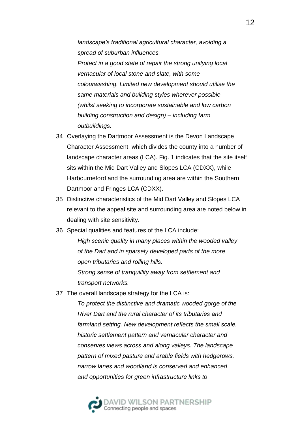*landscape's traditional agricultural character, avoiding a spread of suburban influences. Protect in a good state of repair the strong unifying local vernacular of local stone and slate, with some colourwashing. Limited new development should utilise the same materials and building styles wherever possible (whilst seeking to incorporate sustainable and low carbon building construction and design) – including farm outbuildings.* 

- 34 Overlaying the Dartmoor Assessment is the Devon Landscape Character Assessment, which divides the county into a number of landscape character areas (LCA). Fig. 1 indicates that the site itself sits within the Mid Dart Valley and Slopes LCA (CDXX), while Harbourneford and the surrounding area are within the Southern Dartmoor and Fringes LCA (CDXX).
- 35 Distinctive characteristics of the Mid Dart Valley and Slopes LCA relevant to the appeal site and surrounding area are noted below in dealing with site sensitivity.
- 36 Special qualities and features of the LCA include:

*High scenic quality in many places within the wooded valley of the Dart and in sparsely developed parts of the more open tributaries and rolling hills. Strong sense of tranquillity away from settlement and transport networks.*

37 The overall landscape strategy for the LCA is:

*To protect the distinctive and dramatic wooded gorge of the River Dart and the rural character of its tributaries and farmland setting. New development reflects the small scale, historic settlement pattern and vernacular character and conserves views across and along valleys. The landscape pattern of mixed pasture and arable fields with hedgerows, narrow lanes and woodland is conserved and enhanced and opportunities for green infrastructure links to* 

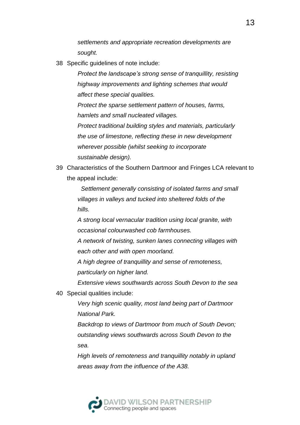*settlements and appropriate recreation developments are sought.*

38 Specific guidelines of note include:

*Protect the landscape's strong sense of tranquillity, resisting highway improvements and lighting schemes that would affect these special qualities.*

*Protect the sparse settlement pattern of houses, farms, hamlets and small nucleated villages.*

*Protect traditional building styles and materials, particularly the use of limestone, reflecting these in new development wherever possible (whilst seeking to incorporate sustainable design).*

39 Characteristics of the Southern Dartmoor and Fringes LCA relevant to the appeal include:

> *Settlement generally consisting of isolated farms and small villages in valleys and tucked into sheltered folds of the hills.*

*A strong local vernacular tradition using local granite, with occasional colourwashed cob farmhouses.*

*A network of twisting, sunken lanes connecting villages with each other and with open moorland.*

*A high degree of tranquillity and sense of remoteness, particularly on higher land.*

*Extensive views southwards across South Devon to the sea*

40 Special qualities include:

*Very high scenic quality, most land being part of Dartmoor National Park.*

*Backdrop to views of Dartmoor from much of South Devon; outstanding views southwards across South Devon to the sea.*

*High levels of remoteness and tranquillity notably in upland areas away from the influence of the A38.*

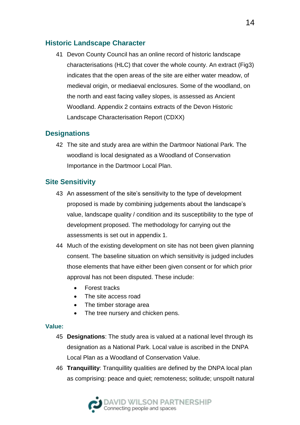## **Historic Landscape Character**

41 Devon County Council has an online record of historic landscape characterisations (HLC) that cover the whole county. An extract (Fig3) indicates that the open areas of the site are either water meadow, of medieval origin, or mediaeval enclosures. Some of the woodland, on the north and east facing valley slopes, is assessed as Ancient Woodland. Appendix 2 contains extracts of the Devon Historic Landscape Characterisation Report (CDXX)

## **Designations**

42 The site and study area are within the Dartmoor National Park. The woodland is local designated as a Woodland of Conservation Importance in the Dartmoor Local Plan.

## **Site Sensitivity**

- 43 An assessment of the site's sensitivity to the type of development proposed is made by combining judgements about the landscape's value, landscape quality / condition and its susceptibility to the type of development proposed. The methodology for carrying out the assessments is set out in appendix 1.
- 44 Much of the existing development on site has not been given planning consent. The baseline situation on which sensitivity is judged includes those elements that have either been given consent or for which prior approval has not been disputed. These include:
	- Forest tracks
	- The site access road
	- The timber storage area
	- The tree nursery and chicken pens.

#### **Value:**

- 45 **Designations**: The study area is valued at a national level through its designation as a National Park. Local value is ascribed in the DNPA Local Plan as a Woodland of Conservation Value.
- 46 **Tranquillity**: Tranquillity qualities are defined by the DNPA local plan as comprising: peace and quiet; remoteness; solitude; unspoilt natural

DAVID WILSON PARTNERSHIP<br>Connecting people and spaces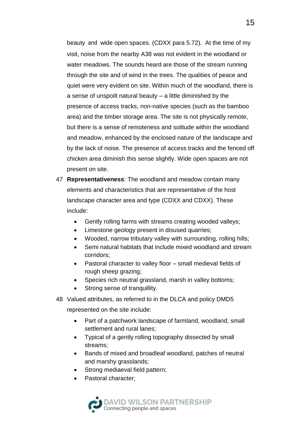beauty and wide open spaces. (CDXX para 5.72). At the time of my visit, noise from the nearby A38 was not evident in the woodland or water meadows. The sounds heard are those of the stream running through the site and of wind in the trees. The qualities of peace and quiet were very evident on site. Within much of the woodland, there is a sense of unspoilt natural beauty – a little diminished by the presence of access tracks, non-native species (such as the bamboo area) and the timber storage area. The site is not physically remote, but there is a sense of remoteness and solitude within the woodland and meadow, enhanced by the enclosed nature of the landscape and by the lack of noise. The presence of access tracks and the fenced off chicken area diminish this sense slightly. Wide open spaces are not present on site.

- 47 **Representativeness**: The woodland and meadow contain many elements and characteristics that are representative of the host landscape character area and type (CDXX and CDXX). These include:
	- Gently rolling farms with streams creating wooded valleys;
	- Limestone geology present in disused quarries;
	- Wooded, narrow tributary valley with surrounding, rolling hills;
	- Semi natural habitats that include mixed woodland and stream corridors;
	- Pastoral character to valley floor small medieval fields of rough sheep grazing;
	- Species rich neutral grassland, marsh in valley bottoms;
	- Strong sense of tranquillity.
- 48 Valued attributes, as referred to in the DLCA and policy DMD5

represented on the site include:

- Part of a patchwork landscape of farmland, woodland, small settlement and rural lanes;
- Typical of a gently rolling topography dissected by small streams;
- Bands of mixed and broadleaf woodland, patches of neutral and marshy grasslands;
- Strong mediaeval field pattern;
- Pastoral character;

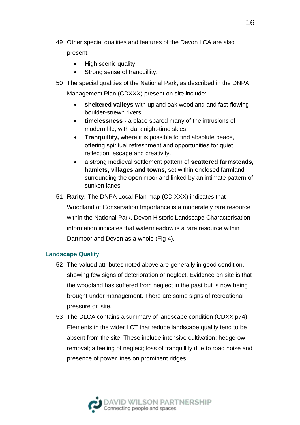- 49 Other special qualities and features of the Devon LCA are also present:
	- High scenic quality;
	- Strong sense of tranquillity.
- 50 The special qualities of the National Park, as described in the DNPA Management Plan (CDXXX) present on site include:
	- **sheltered valleys** with upland oak woodland and fast-flowing boulder-strewn rivers;
	- **timelessness -** a place spared many of the intrusions of modern life, with dark night-time skies;
	- **Tranquillity, where it is possible to find absolute peace,** offering spiritual refreshment and opportunities for quiet reflection, escape and creativity.
	- a strong medieval settlement pattern of **scattered farmsteads, hamlets, villages and towns,** set within enclosed farmland surrounding the open moor and linked by an intimate pattern of sunken lanes
- 51 **Rarity:** The DNPA Local Plan map (CD XXX) indicates that Woodland of Conservation Importance is a moderately rare resource within the National Park. Devon Historic Landscape Characterisation information indicates that watermeadow is a rare resource within Dartmoor and Devon as a whole (Fig 4).

#### **Landscape Quality**

- 52 The valued attributes noted above are generally in good condition, showing few signs of deterioration or neglect. Evidence on site is that the woodland has suffered from neglect in the past but is now being brought under management. There are some signs of recreational pressure on site.
- 53 The DLCA contains a summary of landscape condition (CDXX p74). Elements in the wider LCT that reduce landscape quality tend to be absent from the site. These include intensive cultivation; hedgerow removal; a feeling of neglect; loss of tranquillity due to road noise and presence of power lines on prominent ridges.

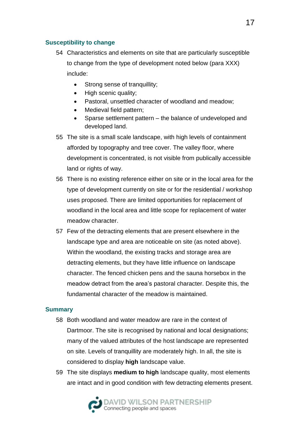#### **Susceptibility to change**

- 54 Characteristics and elements on site that are particularly susceptible to change from the type of development noted below (para XXX) include:
	- Strong sense of tranquillity;
	- High scenic quality;
	- Pastoral, unsettled character of woodland and meadow;
	- Medieval field pattern;
	- Sparse settlement pattern the balance of undeveloped and developed land.
- 55 The site is a small scale landscape, with high levels of containment afforded by topography and tree cover. The valley floor, where development is concentrated, is not visible from publically accessible land or rights of way.
- 56 There is no existing reference either on site or in the local area for the type of development currently on site or for the residential / workshop uses proposed. There are limited opportunities for replacement of woodland in the local area and little scope for replacement of water meadow character.
- 57 Few of the detracting elements that are present elsewhere in the landscape type and area are noticeable on site (as noted above). Within the woodland, the existing tracks and storage area are detracting elements, but they have little influence on landscape character. The fenced chicken pens and the sauna horsebox in the meadow detract from the area's pastoral character. Despite this, the fundamental character of the meadow is maintained.

#### **Summary**

- 58 Both woodland and water meadow are rare in the context of Dartmoor. The site is recognised by national and local designations; many of the valued attributes of the host landscape are represented on site. Levels of tranquillity are moderately high. In all, the site is considered to display **high** landscape value.
- 59 The site displays **medium to high** landscape quality, most elements are intact and in good condition with few detracting elements present.

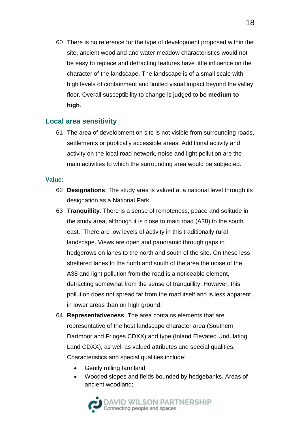60 There is no reference for the type of development proposed within the site, ancient woodland and water meadow characteristics would not be easy to replace and detracting features have little influence on the character of the landscape. The landscape is of a small scale with high levels of containment and limited visual impact beyond the valley floor. Overall susceptibility to change is judged to be **medium to high**.

#### **Local area sensitivity**

61 The area of development on site is not visible from surrounding roads, settlements or publically accessible areas. Additional activity and activity on the local road network, noise and light pollution are the main activities to which the surrounding area would be subjected.

#### **Value:**

- 62 **Designations**: The study area is valued at a national level through its designation as a National Park.
- 63 **Tranquillity**: There is a sense of remoteness, peace and solitude in the study area, although it is close to main road (A38) to the south east. There are low levels of activity in this traditionally rural landscape. Views are open and panoramic through gaps in hedgerows on lanes to the north and south of the site. On these less sheltered lanes to the north and south of the area the noise of the A38 and light pollution from the road is a noticeable element, detracting somewhat from the sense of tranquillity. However, this pollution does not spread far from the road itself and is less apparent in lower areas than on high ground.
- 64 **Representativeness**: The area contains elements that are representative of the host landscape character area (Southern Dartmoor and Fringes CDXX) and type (Inland Elevated Undulating Land CDXX), as well as valued attributes and special qualities. Characteristics and special qualities include:
	- Gently rolling farmland;
	- Wooded slopes and fields bounded by hedgebanks. Areas of ancient woodland;

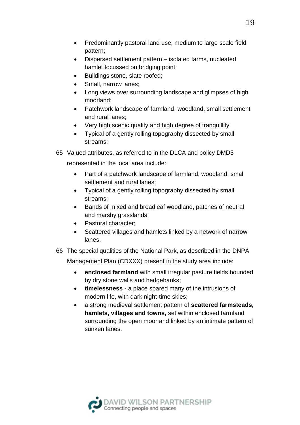- Predominantly pastoral land use, medium to large scale field pattern;
- Dispersed settlement pattern isolated farms, nucleated hamlet focussed on bridging point;
- Buildings stone, slate roofed;
- Small, narrow lanes;
- Long views over surrounding landscape and glimpses of high moorland;
- Patchwork landscape of farmland, woodland, small settlement and rural lanes;
- Very high scenic quality and high degree of tranquillity
- Typical of a gently rolling topography dissected by small streams;
- 65 Valued attributes, as referred to in the DLCA and policy DMD5

represented in the local area include:

- Part of a patchwork landscape of farmland, woodland, small settlement and rural lanes;
- Typical of a gently rolling topography dissected by small streams;
- Bands of mixed and broadleaf woodland, patches of neutral and marshy grasslands;
- Pastoral character;
- Scattered villages and hamlets linked by a network of narrow lanes.
- 66 The special qualities of the National Park, as described in the DNPA

Management Plan (CDXXX) present in the study area include:

- **enclosed farmland** with small irregular pasture fields bounded by dry stone walls and hedgebanks;
- **timelessness -** a place spared many of the intrusions of modern life, with dark night-time skies;
- a strong medieval settlement pattern of **scattered farmsteads, hamlets, villages and towns,** set within enclosed farmland surrounding the open moor and linked by an intimate pattern of sunken lanes.

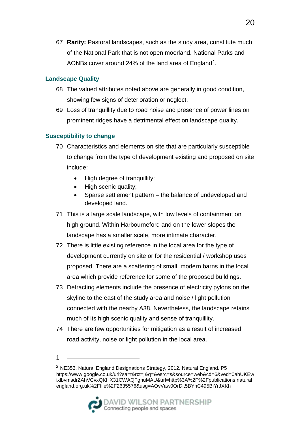67 **Rarity:** Pastoral landscapes, such as the study area, constitute much of the National Park that is not open moorland. National Parks and AONBs cover around 24% of the land area of England<sup>2</sup>.

#### **Landscape Quality**

- 68 The valued attributes noted above are generally in good condition, showing few signs of deterioration or neglect.
- 69 Loss of tranquillity due to road noise and presence of power lines on prominent ridges have a detrimental effect on landscape quality.

#### **Susceptibility to change**

- 70 Characteristics and elements on site that are particularly susceptible to change from the type of development existing and proposed on site include:
	- High degree of tranquillity;
	- High scenic quality;
	- Sparse settlement pattern the balance of undeveloped and developed land.
- 71 This is a large scale landscape, with low levels of containment on high ground. Within Harbourneford and on the lower slopes the landscape has a smaller scale, more intimate character.
- 72 There is little existing reference in the local area for the type of development currently on site or for the residential / workshop uses proposed. There are a scattering of small, modern barns in the local area which provide reference for some of the proposed buildings.
- 73 Detracting elements include the presence of electricity pylons on the skyline to the east of the study area and noise / light pollution connected with the nearby A38. Nevertheless, the landscape retains much of its high scenic quality and sense of tranquillity.
- 74 There are few opportunities for mitigation as a result of increased road activity, noise or light pollution in the local area.
- 1

<sup>2</sup> NE353, Natural England Designations Strategy, 2012. Natural England. P5 https://www.google.co.uk/url?sa=t&rct=j&q=&esrc=s&source=web&cd=6&ved=0ahUKEw ixlbvmsdrZAhVCvxQKHX31CWAQFghuMAU&url=http%3A%2F%2Fpublications.natural england.org.uk%2Ffile%2F2635576&usg=AOvVaw0OrDit5BYhC495BiYrJXKh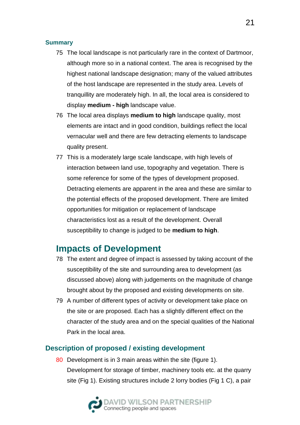#### **Summary**

- 75 The local landscape is not particularly rare in the context of Dartmoor, although more so in a national context. The area is recognised by the highest national landscape designation; many of the valued attributes of the host landscape are represented in the study area. Levels of tranquillity are moderately high. In all, the local area is considered to display **medium - high** landscape value.
- 76 The local area displays **medium to high** landscape quality, most elements are intact and in good condition, buildings reflect the local vernacular well and there are few detracting elements to landscape quality present.
- 77 This is a moderately large scale landscape, with high levels of interaction between land use, topography and vegetation. There is some reference for some of the types of development proposed. Detracting elements are apparent in the area and these are similar to the potential effects of the proposed development. There are limited opportunities for mitigation or replacement of landscape characteristics lost as a result of the development. Overall susceptibility to change is judged to be **medium to high**.

## **Impacts of Development**

- 78 The extent and degree of impact is assessed by taking account of the susceptibility of the site and surrounding area to development (as discussed above) along with judgements on the magnitude of change brought about by the proposed and existing developments on site.
- 79 A number of different types of activity or development take place on the site or are proposed. Each has a slightly different effect on the character of the study area and on the special qualities of the National Park in the local area.

#### **Description of proposed / existing development**

80 Development is in 3 main areas within the site (figure 1). Development for storage of timber, machinery tools etc. at the quarry site (Fig 1). Existing structures include 2 lorry bodies (Fig 1 C), a pair

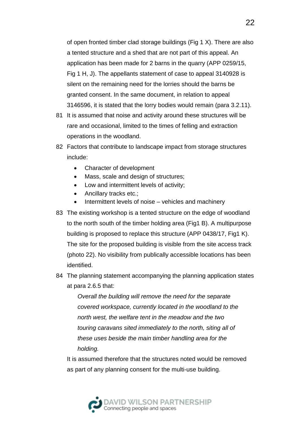of open fronted timber clad storage buildings (Fig 1 X). There are also a tented structure and a shed that are not part of this appeal. An application has been made for 2 barns in the quarry (APP 0259/15, Fig 1 H, J). The appellants statement of case to appeal 3140928 is silent on the remaining need for the lorries should the barns be granted consent. In the same document, in relation to appeal 3146596, it is stated that the lorry bodies would remain (para 3.2.11).

- 81 It is assumed that noise and activity around these structures will be rare and occasional, limited to the times of felling and extraction operations in the woodland.
- 82 Factors that contribute to landscape impact from storage structures include:
	- Character of development
	- Mass, scale and design of structures;
	- Low and intermittent levels of activity;
	- Ancillary tracks etc.;
	- Intermittent levels of noise vehicles and machinery
- 83 The existing workshop is a tented structure on the edge of woodland to the north south of the timber holding area (Fig1 B). A multipurpose building is proposed to replace this structure (APP 0438/17, Fig1 K). The site for the proposed building is visible from the site access track (photo 22). No visibility from publically accessible locations has been identified.
- 84 The planning statement accompanying the planning application states at para 2.6.5 that:

*Overall the building will remove the need for the separate covered workspace, currently located in the woodland to the north west, the welfare tent in the meadow and the two touring caravans sited immediately to the north, siting all of these uses beside the main timber handling area for the holding.*

It is assumed therefore that the structures noted would be removed as part of any planning consent for the multi-use building.

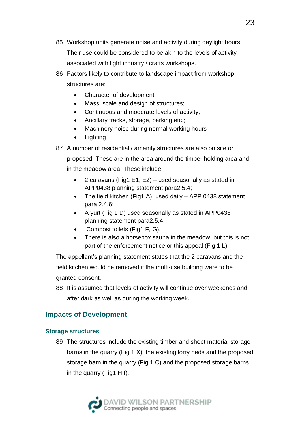- 85 Workshop units generate noise and activity during daylight hours. Their use could be considered to be akin to the levels of activity associated with light industry / crafts workshops.
- 86 Factors likely to contribute to landscape impact from workshop structures are:
	- Character of development
	- Mass, scale and design of structures;
	- Continuous and moderate levels of activity;
	- Ancillary tracks, storage, parking etc.;
	- Machinery noise during normal working hours
	- **Lighting**
- 87 A number of residential / amenity structures are also on site or

proposed. These are in the area around the timber holding area and in the meadow area. These include

- 2 caravans (Fig1 E1, E2) used seasonally as stated in APP0438 planning statement para2.5.4;
- The field kitchen (Fig1 A), used daily APP 0438 statement para 2.4.6;
- A yurt (Fig 1 D) used seasonally as stated in APP0438 planning statement para2.5.4;
- Compost toilets (Fig1 F, G).
- There is also a horsebox sauna in the meadow, but this is not part of the enforcement notice or this appeal (Fig 1 L),

The appellant's planning statement states that the 2 caravans and the field kitchen would be removed if the multi-use building were to be granted consent.

88 It is assumed that levels of activity will continue over weekends and after dark as well as during the working week.

## **Impacts of Development**

#### **Storage structures**

89 The structures include the existing timber and sheet material storage barns in the quarry (Fig 1 X), the existing lorry beds and the proposed storage barn in the quarry (Fig 1 C) and the proposed storage barns in the quarry (Fig1 H,I).

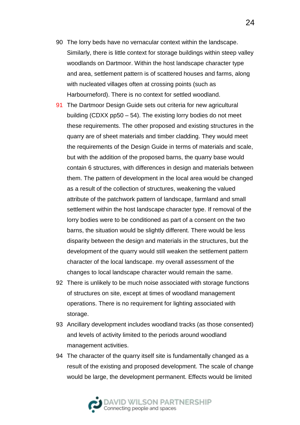- 90 The lorry beds have no vernacular context within the landscape. Similarly, there is little context for storage buildings within steep valley woodlands on Dartmoor. Within the host landscape character type and area, settlement pattern is of scattered houses and farms, along with nucleated villages often at crossing points (such as Harbourneford). There is no context for settled woodland.
- 91 The Dartmoor Design Guide sets out criteria for new agricultural building (CDXX pp50 – 54). The existing lorry bodies do not meet these requirements. The other proposed and existing structures in the quarry are of sheet materials and timber cladding. They would meet the requirements of the Design Guide in terms of materials and scale, but with the addition of the proposed barns, the quarry base would contain 6 structures, with differences in design and materials between them. The pattern of development in the local area would be changed as a result of the collection of structures, weakening the valued attribute of the patchwork pattern of landscape, farmland and small settlement within the host landscape character type. If removal of the lorry bodies were to be conditioned as part of a consent on the two barns, the situation would be slightly different. There would be less disparity between the design and materials in the structures, but the development of the quarry would still weaken the settlement pattern character of the local landscape. my overall assessment of the changes to local landscape character would remain the same.
- 92 There is unlikely to be much noise associated with storage functions of structures on site, except at times of woodland management operations. There is no requirement for lighting associated with storage.
- 93 Ancillary development includes woodland tracks (as those consented) and levels of activity limited to the periods around woodland management activities.
- 94 The character of the quarry itself site is fundamentally changed as a result of the existing and proposed development. The scale of change would be large, the development permanent. Effects would be limited

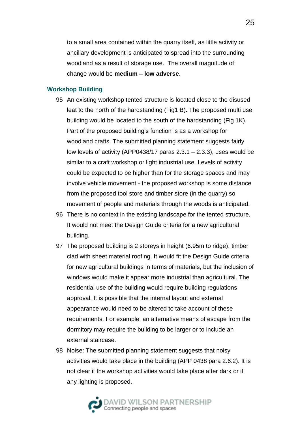to a small area contained within the quarry itself, as little activity or ancillary development is anticipated to spread into the surrounding woodland as a result of storage use. The overall magnitude of change would be **medium – low adverse**.

#### **Workshop Building**

- 95 An existing workshop tented structure is located close to the disused leat to the north of the hardstanding (Fig1 B). The proposed multi use building would be located to the south of the hardstanding (Fig 1K). Part of the proposed building's function is as a workshop for woodland crafts. The submitted planning statement suggests fairly low levels of activity (APP0438/17 paras 2.3.1 – 2.3.3), uses would be similar to a craft workshop or light industrial use. Levels of activity could be expected to be higher than for the storage spaces and may involve vehicle movement - the proposed workshop is some distance from the proposed tool store and timber store (in the quarry) so movement of people and materials through the woods is anticipated.
- 96 There is no context in the existing landscape for the tented structure. It would not meet the Design Guide criteria for a new agricultural building.
- 97 The proposed building is 2 storeys in height (6.95m to ridge), timber clad with sheet material roofing. It would fit the Design Guide criteria for new agricultural buildings in terms of materials, but the inclusion of windows would make it appear more industrial than agricultural. The residential use of the building would require building regulations approval. It is possible that the internal layout and external appearance would need to be altered to take account of these requirements. For example, an alternative means of escape from the dormitory may require the building to be larger or to include an external staircase.
- 98 Noise: The submitted planning statement suggests that noisy activities would take place in the building (APP 0438 para 2.6.2). It is not clear if the workshop activities would take place after dark or if any lighting is proposed.



25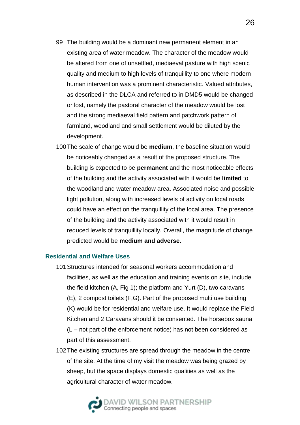- 99 The building would be a dominant new permanent element in an existing area of water meadow. The character of the meadow would be altered from one of unsettled, mediaeval pasture with high scenic quality and medium to high levels of tranquillity to one where modern human intervention was a prominent characteristic. Valued attributes, as described in the DLCA and referred to in DMD5 would be changed or lost, namely the pastoral character of the meadow would be lost and the strong mediaeval field pattern and patchwork pattern of farmland, woodland and small settlement would be diluted by the development.
- 100The scale of change would be **medium**, the baseline situation would be noticeably changed as a result of the proposed structure. The building is expected to be **permanent** and the most noticeable effects of the building and the activity associated with it would be **limited** to the woodland and water meadow area. Associated noise and possible light pollution, along with increased levels of activity on local roads could have an effect on the tranquillity of the local area. The presence of the building and the activity associated with it would result in reduced levels of tranquillity locally. Overall, the magnitude of change predicted would be **medium and adverse.**

#### **Residential and Welfare Uses**

- 101Structures intended for seasonal workers accommodation and facilities, as well as the education and training events on site, include the field kitchen (A, Fig 1); the platform and Yurt (D), two caravans (E), 2 compost toilets (F,G). Part of the proposed multi use building (K) would be for residential and welfare use. It would replace the Field Kitchen and 2 Caravans should it be consented. The horsebox sauna (L – not part of the enforcement notice) has not been considered as part of this assessment.
- 102The existing structures are spread through the meadow in the centre of the site. At the time of my visit the meadow was being grazed by sheep, but the space displays domestic qualities as well as the agricultural character of water meadow.

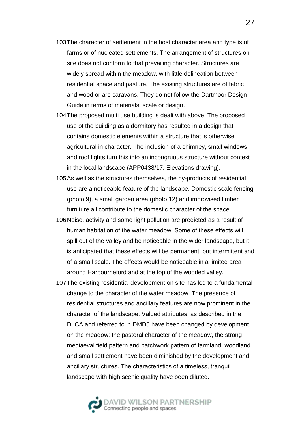- 103The character of settlement in the host character area and type is of farms or of nucleated settlements. The arrangement of structures on site does not conform to that prevailing character. Structures are widely spread within the meadow, with little delineation between residential space and pasture. The existing structures are of fabric and wood or are caravans. They do not follow the Dartmoor Design Guide in terms of materials, scale or design.
- 104The proposed multi use building is dealt with above. The proposed use of the building as a dormitory has resulted in a design that contains domestic elements within a structure that is otherwise agricultural in character. The inclusion of a chimney, small windows and roof lights turn this into an incongruous structure without context in the local landscape (APP0438/17. Elevations drawing).
- 105As well as the structures themselves, the by-products of residential use are a noticeable feature of the landscape. Domestic scale fencing (photo 9), a small garden area (photo 12) and improvised timber furniture all contribute to the domestic character of the space.
- 106Noise, activity and some light pollution are predicted as a result of human habitation of the water meadow. Some of these effects will spill out of the valley and be noticeable in the wider landscape, but it is anticipated that these effects will be permanent, but intermittent and of a small scale. The effects would be noticeable in a limited area around Harbourneford and at the top of the wooded valley.
- 107The existing residential development on site has led to a fundamental change to the character of the water meadow. The presence of residential structures and ancillary features are now prominent in the character of the landscape. Valued attributes, as described in the DLCA and referred to in DMD5 have been changed by development on the meadow: the pastoral character of the meadow, the strong mediaeval field pattern and patchwork pattern of farmland, woodland and small settlement have been diminished by the development and ancillary structures. The characteristics of a timeless, tranquil landscape with high scenic quality have been diluted.

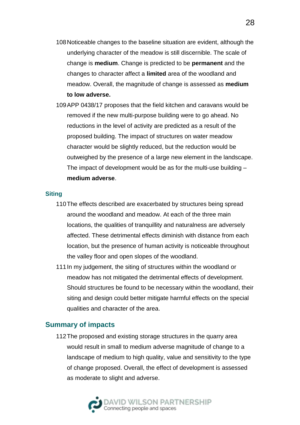- 108Noticeable changes to the baseline situation are evident, although the underlying character of the meadow is still discernible. The scale of change is **medium**. Change is predicted to be **permanent** and the changes to character affect a **limited** area of the woodland and meadow. Overall, the magnitude of change is assessed as **medium to low adverse.**
- 109APP 0438/17 proposes that the field kitchen and caravans would be removed if the new multi-purpose building were to go ahead. No reductions in the level of activity are predicted as a result of the proposed building. The impact of structures on water meadow character would be slightly reduced, but the reduction would be outweighed by the presence of a large new element in the landscape. The impact of development would be as for the multi-use building – **medium adverse**.

#### **Siting**

- 110The effects described are exacerbated by structures being spread around the woodland and meadow. At each of the three main locations, the qualities of tranquillity and naturalness are adversely affected. These detrimental effects diminish with distance from each location, but the presence of human activity is noticeable throughout the valley floor and open slopes of the woodland.
- 111 In my judgement, the siting of structures within the woodland or meadow has not mitigated the detrimental effects of development. Should structures be found to be necessary within the woodland, their siting and design could better mitigate harmful effects on the special qualities and character of the area.

#### **Summary of impacts**

112The proposed and existing storage structures in the quarry area would result in small to medium adverse magnitude of change to a landscape of medium to high quality, value and sensitivity to the type of change proposed. Overall, the effect of development is assessed as moderate to slight and adverse.

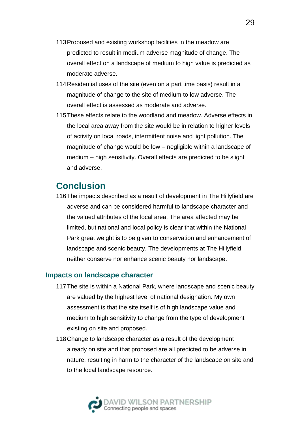- 113Proposed and existing workshop facilities in the meadow are predicted to result in medium adverse magnitude of change. The overall effect on a landscape of medium to high value is predicted as moderate adverse.
- 114Residential uses of the site (even on a part time basis) result in a magnitude of change to the site of medium to low adverse. The overall effect is assessed as moderate and adverse.
- 115These effects relate to the woodland and meadow. Adverse effects in the local area away from the site would be in relation to higher levels of activity on local roads, intermittent noise and light pollution. The magnitude of change would be low – negligible within a landscape of medium – high sensitivity. Overall effects are predicted to be slight and adverse.

# **Conclusion**

116The impacts described as a result of development in The Hillyfield are adverse and can be considered harmful to landscape character and the valued attributes of the local area. The area affected may be limited, but national and local policy is clear that within the National Park great weight is to be given to conservation and enhancement of landscape and scenic beauty. The developments at The Hillyfield neither conserve nor enhance scenic beauty nor landscape.

#### **Impacts on landscape character**

- 117The site is within a National Park, where landscape and scenic beauty are valued by the highest level of national designation. My own assessment is that the site itself is of high landscape value and medium to high sensitivity to change from the type of development existing on site and proposed.
- 118Change to landscape character as a result of the development already on site and that proposed are all predicted to be adverse in nature, resulting in harm to the character of the landscape on site and to the local landscape resource.

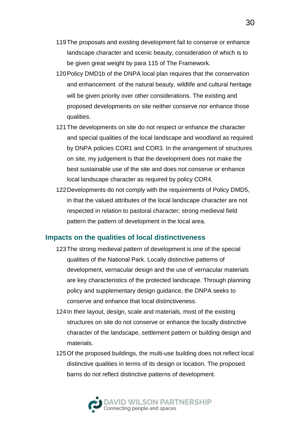- 119The proposals and existing development fail to conserve or enhance landscape character and scenic beauty, consideration of which is to be given great weight by para 115 of The Framework.
- 120Policy DMD1b of the DNPA local plan requires that the conservation and enhancement of the natural beauty, wildlife and cultural heritage will be given priority over other considerations. The existing and proposed developments on site neither conserve nor enhance those qualities.
- 121The developments on site do not respect or enhance the character and special qualities of the local landscape and woodland as required by DNPA policies COR1 and COR3. In the arrangement of structures on site, my judgement is that the development does not make the best sustainable use of the site and does not conserve or enhance local landscape character as required by policy COR4.
- 122Developments do not comply with the requirements of Policy DMD5, in that the valued attributes of the local landscape character are not respected in relation to pastoral character; strong medieval field pattern the pattern of development in the local area.

#### **Impacts on the qualities of local distinctiveness**

- 123The strong medieval pattern of development is one of the special qualities of the National Park. Locally distinctive patterns of development, vernacular design and the use of vernacular materials are key characteristics of the protected landscape. Through planning policy and supplementary design guidance, the DNPA seeks to conserve and enhance that local distinctiveness.
- 124In their layout, design, scale and materials, most of the existing structures on site do not conserve or enhance the locally distinctive character of the landscape, settlement pattern or building design and materials.
- 125Of the proposed buildings, the multi-use building does not reflect local distinctive qualities in terms of its design or location. The proposed barns do not reflect distinctive patterns of development.